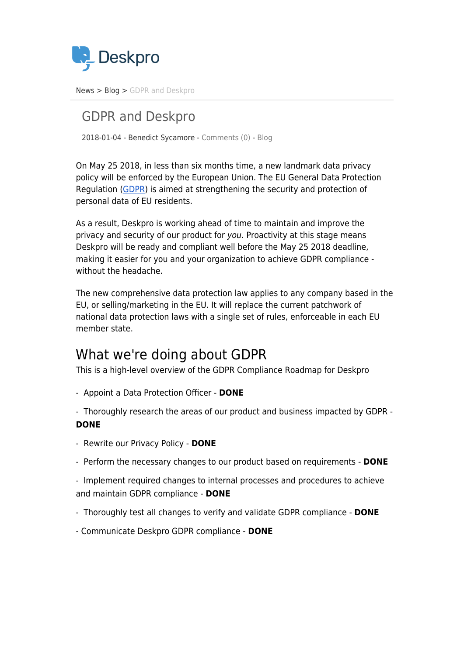

[News](https://support.deskpro.com/sv/news) > [Blog](https://support.deskpro.com/sv/news/blog) > [GDPR and Deskpro](https://support.deskpro.com/sv/news/posts/gdpr-and-deskpro)

## GDPR and Deskpro

2018-01-04 - Benedict Sycamore - [Comments \(0\)](#page--1-0) - [Blog](https://support.deskpro.com/sv/news/blog)

On May 25 2018, in less than six months time, a new landmark data privacy policy will be enforced by the European Union. The EU General Data Protection Regulation (GDPR) is aimed at strengthening the security and protection of personal data of EU residents.

As a result, Deskpro is working ahead of time to maintain and improve the privacy and security of our product for you. Proactivity at this stage means Deskpro will be ready and compliant well before the May 25 2018 deadline, making it easier for you and your organization to achieve GDPR compliance without the headache.

The new comprehensive data protection law applies to any company based in the EU, or selling/marketing in the EU. It will replace the current patchwork of national data protection laws with a single set of rules, enforceable in each EU member state.

## What we're doing about GDPR

This is a high-level overview of the GDPR Compliance Roadmap for Deskpro

- Appoint a Data Protection Officer - **DONE**

- Thoroughly research the areas of our product and business impacted by GDPR - **DONE**

- Rewrite our Privacy Policy **DONE**
- Perform the necessary changes to our product based on requirements **DONE**
- Implement required changes to internal processes and procedures to achieve and maintain GDPR compliance - **DONE**
- Thoroughly test all changes to verify and validate GDPR compliance **DONE**
- Communicate Deskpro GDPR compliance **DONE**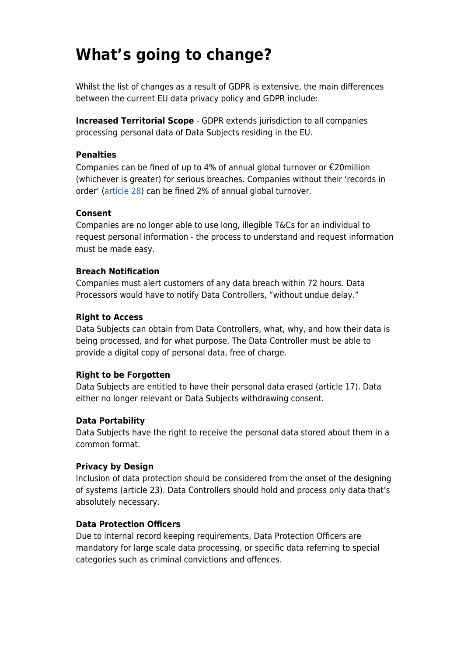# **What's going to change?**

Whilst the list of changes as a result of GDPR is extensive, the main differences between the current EU data privacy policy and GDPR include:

**Increased Territorial Scope** - GDPR extends jurisdiction to all companies processing personal data of Data Subjects residing in the EU.

#### **Penalties**

Companies can be fined of up to 4% of annual global turnover or  $\epsilon$ 20million (whichever is greater) for serious breaches. Companies without their 'records in order' (article 28) can be fined 2% of annual global turnover.

#### **Consent**

Companies are no longer able to use long, illegible T&Cs for an individual to request personal information - the process to understand and request information must be made easy.

#### **Breach Notification**

Companies must alert customers of any data breach within 72 hours. Data Processors would have to notify Data Controllers, "without undue delay."

#### **Right to Access**

Data Subjects can obtain from Data Controllers, what, why, and how their data is being processed, and for what purpose. The Data Controller must be able to provide a digital copy of personal data, free of charge.

## **Right to be Forgotten**

Data Subjects are entitled to have their personal data erased (article 17). Data either no longer relevant or Data Subjects withdrawing consent.

## **Data Portability**

Data Subjects have the right to receive the personal data stored about them in a common format.

#### **Privacy by Design**

Inclusion of data protection should be considered from the onset of the designing of systems (article 23). Data Controllers should hold and process only data that's absolutely necessary.

## **Data Protection Officers**

Due to internal record keeping requirements, Data Protection Officers are mandatory for large scale data processing, or specific data referring to special categories such as criminal convictions and offences.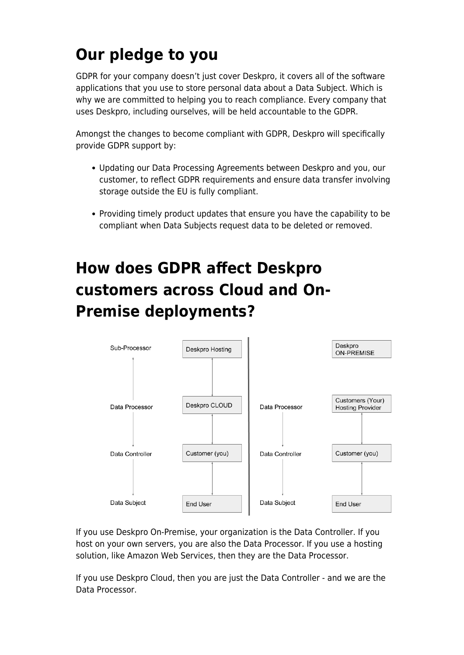# **Our pledge to you**

GDPR for your company doesn't just cover Deskpro, it covers all of the software applications that you use to store personal data about a Data Subject. Which is why we are committed to helping you to reach compliance. Every company that uses Deskpro, including ourselves, will be held accountable to the GDPR.

Amongst the changes to become compliant with GDPR, Deskpro will specifically provide GDPR support by:

- Updating our Data Processing Agreements between Deskpro and you, our customer, to reflect GDPR requirements and ensure data transfer involving storage outside the EU is fully compliant.
- Providing timely product updates that ensure you have the capability to be compliant when Data Subjects request data to be deleted or removed.

# **How does GDPR affect Deskpro customers across Cloud and On-Premise deployments?**



If you use Deskpro On-Premise, your organization is the Data Controller. If you host on your own servers, you are also the Data Processor. If you use a hosting solution, like Amazon Web Services, then they are the Data Processor.

If you use Deskpro Cloud, then you are just the Data Controller - and we are the Data Processor.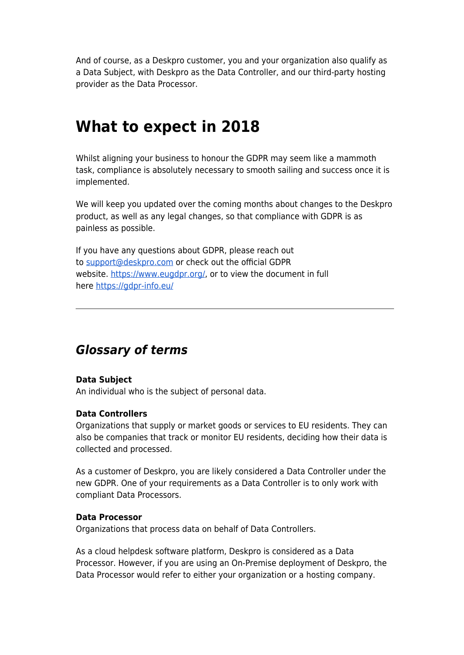And of course, as a Deskpro customer, you and your organization also qualify as a Data Subject, with Deskpro as the Data Controller, and our third-party hosting provider as the Data Processor.

# **What to expect in 2018**

Whilst aligning your business to honour the GDPR may seem like a mammoth task, compliance is absolutely necessary to smooth sailing and success once it is implemented.

We will keep you updated over the coming months about changes to the Deskpro product, as well as any legal changes, so that compliance with GDPR is as painless as possible.

If you have any questions about GDPR, please reach out to support@deskpro.com or check out the official GDPR website. https://www.eugdpr.org/, or to view the document in full here https://gdpr-info.eu/

## *Glossary of terms*

## **Data Subject**

An individual who is the subject of personal data.

#### **Data Controllers**

Organizations that supply or market goods or services to EU residents. They can also be companies that track or monitor EU residents, deciding how their data is collected and processed.

As a customer of Deskpro, you are likely considered a Data Controller under the new GDPR. One of your requirements as a Data Controller is to only work with compliant Data Processors.

#### **Data Processor**

Organizations that process data on behalf of Data Controllers.

As a cloud helpdesk software platform, Deskpro is considered as a Data Processor. However, if you are using an On-Premise deployment of Deskpro, the Data Processor would refer to either your organization or a hosting company.